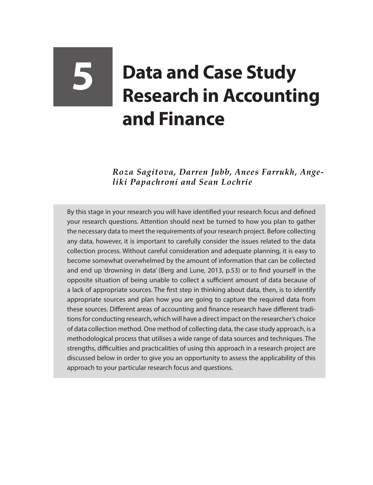## **5 Data and Case Study Research in Accounting and Finance**

*Roza Sagitova, Darren Jubb, Anees Farrukh, Angeliki Papachroni and Sean Lochrie*

By this stage in your research you will have identified your research focus and defined your research questions. Attention should next be turned to how you plan to gather the necessary data to meet the requirements of your research project. Before collecting any data, however, it is important to carefully consider the issues related to the data collection process. Without careful consideration and adequate planning, it is easy to become somewhat overwhelmed by the amount of information that can be collected and end up 'drowning in data' (Berg and Lune, 2013, p.53) or to find yourself in the opposite situation of being unable to collect a sufficient amount of data because of a lack of appropriate sources. The first step in thinking about data, then, is to identify appropriate sources and plan how you are going to capture the required data from these sources. Different areas of accounting and finance research have different traditions for conducting research, which will have a direct impact on the researcher's choice of data collection method. One method of collecting data, the case study approach, is a methodological process that utilises a wide range of data sources and techniques. The strengths, difficulties and practicalities of using this approach in a research project are discussed below in order to give you an opportunity to assess the applicability of this approach to your particular research focus and questions.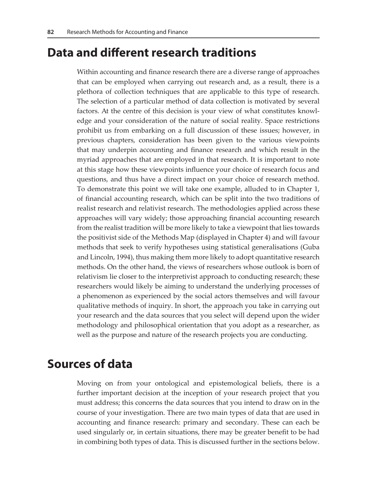## **Data and different research traditions**

Within accounting and finance research there are a diverse range of approaches that can be employed when carrying out research and, as a result, there is a plethora of collection techniques that are applicable to this type of research. The selection of a particular method of data collection is motivated by several factors. At the centre of this decision is your view of what constitutes knowledge and your consideration of the nature of social reality. Space restrictions prohibit us from embarking on a full discussion of these issues; however, in previous chapters, consideration has been given to the various viewpoints that may underpin accounting and finance research and which result in the myriad approaches that are employed in that research. It is important to note at this stage how these viewpoints influence your choice of research focus and questions, and thus have a direct impact on your choice of research method. To demonstrate this point we will take one example, alluded to in Chapter 1, of financial accounting research, which can be split into the two traditions of realist research and relativist research. The methodologies applied across these approaches will vary widely; those approaching financial accounting research from the realist tradition will be more likely to take a viewpoint that lies towards the positivist side of the Methods Map (displayed in Chapter 4) and will favour methods that seek to verify hypotheses using statistical generalisations (Guba and Lincoln, 1994), thus making them more likely to adopt quantitative research methods. On the other hand, the views of researchers whose outlook is born of relativism lie closer to the interpretivist approach to conducting research; these researchers would likely be aiming to understand the underlying processes of a phenomenon as experienced by the social actors themselves and will favour qualitative methods of inquiry. In short, the approach you take in carrying out your research and the data sources that you select will depend upon the wider methodology and philosophical orientation that you adopt as a researcher, as well as the purpose and nature of the research projects you are conducting.

## **Sources of data**

Moving on from your ontological and epistemological beliefs, there is a further important decision at the inception of your research project that you must address; this concerns the data sources that you intend to draw on in the course of your investigation. There are two main types of data that are used in accounting and finance research: primary and secondary. These can each be used singularly or, in certain situations, there may be greater benefit to be had in combining both types of data. This is discussed further in the sections below.